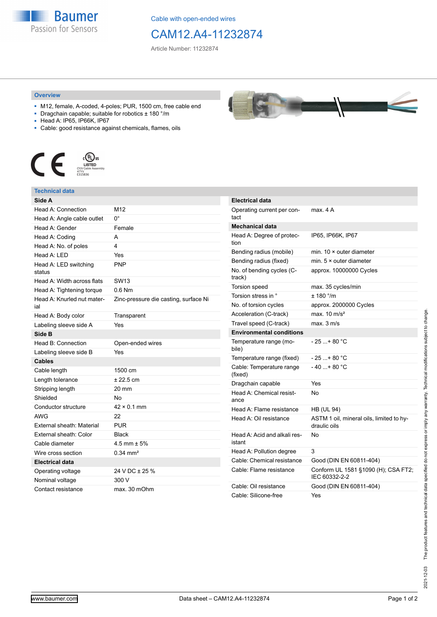

Cable with open-ended wires

## CAM12.A4-11232874

Article Number: 11232874

## **Overview**

- M12, female, A-coded, 4-poles; PUR, 1500 cm, free cable end
- Dragchain capable; suitable for robotics ± 180 °/m
- Head A: IP65, IP66K, IP67
- Cable: good resistance against chemicals, flames, oils



## **Technical data**

| Side A                            |                                       |
|-----------------------------------|---------------------------------------|
| Head A: Connection                | M12                                   |
| Head A: Angle cable outlet        | 0°                                    |
| Head A: Gender                    | Female                                |
| Head A: Coding                    | A                                     |
| Head A: No. of poles              | 4                                     |
| Head A: LED                       | Yes                                   |
| Head A: LED switching<br>status   | <b>PNP</b>                            |
| Head A: Width across flats        | <b>SW13</b>                           |
| Head A: Tightening torque         | $0.6$ Nm                              |
| Head A: Knurled nut mater-<br>ial | Zinc-pressure die casting, surface Ni |
| Head A: Body color                | Transparent                           |
| Labeling sleeve side A            | Yes                                   |
| Side B                            |                                       |
| Head B: Connection                | Open-ended wires                      |
| Labeling sleeve side B            | Yes                                   |
| <b>Cables</b>                     |                                       |
| Cable length                      | 1500 cm                               |
| Length tolerance                  | $± 22.5$ cm                           |
| Stripping length                  | 20 mm                                 |
| Shielded                          | No                                    |
| Conductor structure               | $42 \times 0.1$ mm                    |
| <b>AWG</b>                        | 22                                    |
| External sheath: Material         | <b>PUR</b>                            |
| External sheath: Color            | <b>Black</b>                          |
| Cable diameter                    | $4.5$ mm $\pm$ 5%                     |
| Wire cross section                | $0.34 \, \text{mm}^2$                 |
| <b>Electrical data</b>            |                                       |
| Operating voltage                 | 24 V DC ± 25 %                        |
| Nominal voltage                   | 300 V                                 |
| Contact resistance                | max. 30 mOhm                          |



| <b>Electrical data</b>                 |                                                          |
|----------------------------------------|----------------------------------------------------------|
| Operating current per con-<br>tact     | max. 4 A                                                 |
| <b>Mechanical data</b>                 |                                                          |
| Head A: Degree of protec-<br>tion      | IP65, IP66K, IP67                                        |
| Bending radius (mobile)                | min. $10 \times$ outer diameter                          |
| Bending radius (fixed)                 | min. $5 \times$ outer diameter                           |
| No. of bending cycles (C-<br>track)    | approx. 10000000 Cycles                                  |
| <b>Torsion speed</b>                   | max. 35 cycles/min                                       |
| Torsion stress in °                    | ± 180 °/m                                                |
| No. of torsion cycles                  | approx. 2000000 Cycles                                   |
| Acceleration (C-track)                 | max. $10 \text{ m/s}^2$                                  |
| Travel speed (C-track)                 | max. 3 m/s                                               |
| <b>Environmental conditions</b>        |                                                          |
| Temperature range (mo-<br>bile)        | - 25 + 80 °C                                             |
| Temperature range (fixed)              | $-25+80 °C$                                              |
| Cable: Temperature range<br>(fixed)    | $-40+80 °C$                                              |
| Dragchain capable                      | Yes                                                      |
| Head A: Chemical resist-<br>ance       | No                                                       |
| Head A: Flame resistance               | <b>HB (UL 94)</b>                                        |
| Head A: Oil resistance                 | ASTM 1 oil, mineral oils, limited to hy-<br>draulic oils |
| Head A: Acid and alkali res-<br>istant | No                                                       |
| Head A: Pollution degree               | 3                                                        |
| Cable: Chemical resistance             | Good (DIN EN 60811-404)                                  |
| Cable: Flame resistance                | Conform UL 1581 §1090 (H); CSA FT2;<br>IEC 60332-2-2     |
| Cable: Oil resistance                  | Good (DIN EN 60811-404)                                  |
| Cable: Silicone-free                   | Yes                                                      |